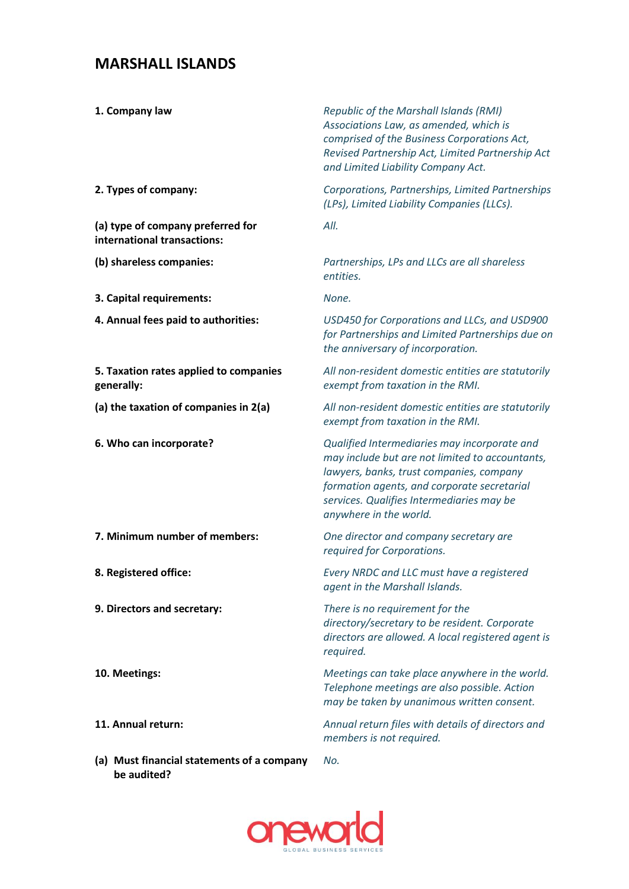## **MARSHALL ISLANDS**

| 1. Company law                                                   | Republic of the Marshall Islands (RMI)<br>Associations Law, as amended, which is<br>comprised of the Business Corporations Act,<br>Revised Partnership Act, Limited Partnership Act<br>and Limited Liability Company Act.                                         |
|------------------------------------------------------------------|-------------------------------------------------------------------------------------------------------------------------------------------------------------------------------------------------------------------------------------------------------------------|
| 2. Types of company:                                             | Corporations, Partnerships, Limited Partnerships<br>(LPs), Limited Liability Companies (LLCs).                                                                                                                                                                    |
| (a) type of company preferred for<br>international transactions: | All.                                                                                                                                                                                                                                                              |
| (b) shareless companies:                                         | Partnerships, LPs and LLCs are all shareless<br>entities.                                                                                                                                                                                                         |
| 3. Capital requirements:                                         | None.                                                                                                                                                                                                                                                             |
| 4. Annual fees paid to authorities:                              | USD450 for Corporations and LLCs, and USD900<br>for Partnerships and Limited Partnerships due on<br>the anniversary of incorporation.                                                                                                                             |
| 5. Taxation rates applied to companies<br>generally:             | All non-resident domestic entities are statutorily<br>exempt from taxation in the RMI.                                                                                                                                                                            |
| (a) the taxation of companies in 2(a)                            | All non-resident domestic entities are statutorily<br>exempt from taxation in the RMI.                                                                                                                                                                            |
| 6. Who can incorporate?                                          | Qualified Intermediaries may incorporate and<br>may include but are not limited to accountants,<br>lawyers, banks, trust companies, company<br>formation agents, and corporate secretarial<br>services. Qualifies Intermediaries may be<br>anywhere in the world. |
| 7. Minimum number of members:                                    | One director and company secretary are<br>required for Corporations.                                                                                                                                                                                              |
| 8. Registered office:                                            | Every NRDC and LLC must have a registered<br>agent in the Marshall Islands.                                                                                                                                                                                       |
| 9. Directors and secretary:                                      | There is no requirement for the<br>directory/secretary to be resident. Corporate<br>directors are allowed. A local registered agent is<br>required.                                                                                                               |
| 10. Meetings:                                                    | Meetings can take place anywhere in the world.<br>Telephone meetings are also possible. Action<br>may be taken by unanimous written consent.                                                                                                                      |
| 11. Annual return:                                               | Annual return files with details of directors and<br>members is not required.                                                                                                                                                                                     |

**(a) Must financial statements of a company be audited?**  *No.*